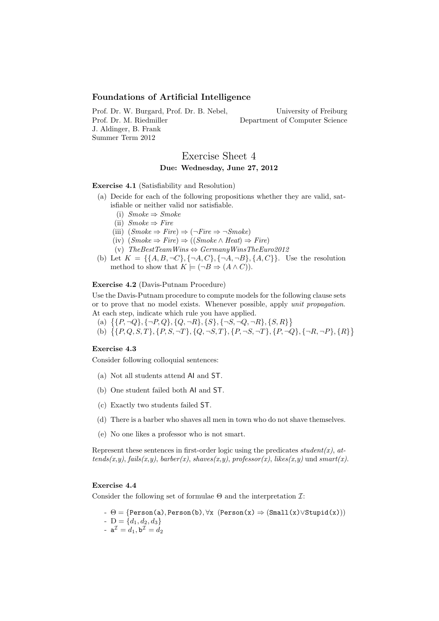## Foundations of Artificial Intelligence

Prof. Dr. W. Burgard, Prof. Dr. B. Nebel, Prof. Dr. M. Riedmiller J. Aldinger, B. Frank Summer Term 2012

University of Freiburg Department of Computer Science

# Exercise Sheet 4 Due: Wednesday, June 27, 2012

Exercise 4.1 (Satisfiability and Resolution)

- (a) Decide for each of the following propositions whether they are valid, satisfiable or neither valid nor satisfiable.
	- (i)  $Smoke \Rightarrow Smoke$
	- (ii)  $Smoke \Rightarrow Fire$
	- (iii)  $(Smoke \Rightarrow Fire) \Rightarrow (\neg Fire \Rightarrow \neg Smoke)$
	- $(iv)$   $(Smoke \Rightarrow Fire) \Rightarrow ((Smoke \land Heat) \Rightarrow Fire)$
	- (v) TheBestTeamWins  $\Leftrightarrow$  GermanyWinsTheEuro2012
- (b) Let  $K = \{\{A, B, \neg C\}, \{\neg A, C\}, \{\neg A, \neg B\}, \{A, C\}\}\$ . Use the resolution method to show that  $K \models (\neg B \Rightarrow (A \land C)).$

#### Exercise 4.2 (Davis-Putnam Procedure)

Use the Davis-Putnam procedure to compute models for the following clause sets or to prove that no model exists. Whenever possible, apply unit propagation. At each step, indicate which rule you have applied.

- (a)  $\{ \{P, \neg Q\}, \{\neg P, Q\}, \{Q, \neg R\}, \{S\}, \{\neg S, \neg Q, \neg R\}, \{S, R\} \}$
- (b)  $\{\{P,Q,S,T\},\{P,S,\neg T\},\{Q,\neg S,T\},\{P,\neg S,\neg T\},\{P,\neg Q\},\{\neg R,\neg P\},\{R\}\}\$

## Exercise 4.3

Consider following colloquial sentences:

- (a) Not all students attend AI and ST.
- (b) One student failed both AI and ST.
- (c) Exactly two students failed ST.
- (d) There is a barber who shaves all men in town who do not shave themselves.
- (e) No one likes a professor who is not smart.

Represent these sentences in first-order logic using the predicates student(x), at $tends(x,y)$ ,  $fails(x,y)$ ,  $barber(x)$ ,  $shaves(x,y)$ ,  $professor(x)$ ,  $likes(x,y)$  und  $smart(x)$ .

## Exercise 4.4

Consider the following set of formulae  $\Theta$  and the interpretation  $\mathcal{I}:$ 

-  $\Theta = \{Person(a), Person(b), \forall x \ (Person(x) \Rightarrow (Small(x) \vee Stupid(x)))$ 

- D =  $\{d_1, d_2, d_3\}$
- $a^{\mathcal{I}} = d_1, b^{\mathcal{I}} = d_2$